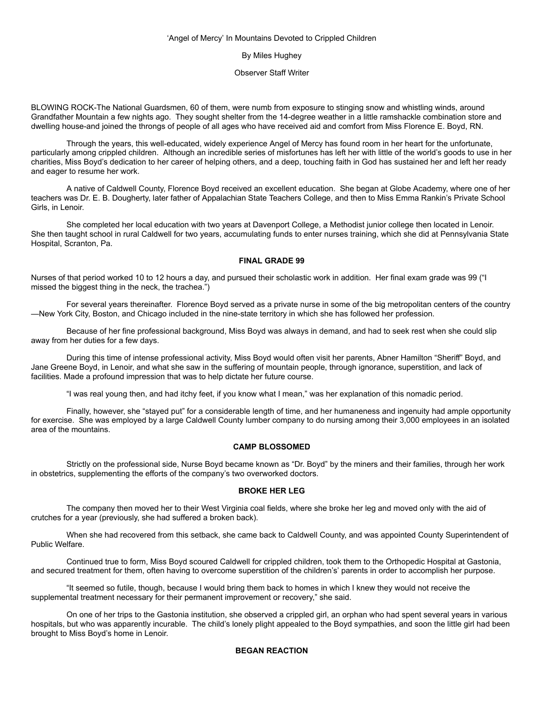### 'Angel of Mercy' In Mountains Devoted to Crippled Children

### By Miles Hughey

### Observer Staff Writer

BLOWING ROCK-The National Guardsmen, 60 of them, were numb from exposure to stinging snow and whistling winds, around Grandfather Mountain a few nights ago. They sought shelter from the 14-degree weather in a little ramshackle combination store and dwelling house-and joined the throngs of people of all ages who have received aid and comfort from Miss Florence E. Boyd, RN.

 Through the years, this well-educated, widely experience Angel of Mercy has found room in her heart for the unfortunate, particularly among crippled children. Although an incredible series of misfortunes has left her with little of the world's goods to use in her charities, Miss Boyd's dedication to her career of helping others, and a deep, touching faith in God has sustained her and left her ready and eager to resume her work.

 A native of Caldwell County, Florence Boyd received an excellent education. She began at Globe Academy, where one of her teachers was Dr. E. B. Dougherty, later father of Appalachian State Teachers College, and then to Miss Emma Rankin's Private School Girls, in Lenoir.

 She completed her local education with two years at Davenport College, a Methodist junior college then located in Lenoir. She then taught school in rural Caldwell for two years, accumulating funds to enter nurses training, which she did at Pennsylvania State Hospital, Scranton, Pa.

## **FINAL GRADE 99**

Nurses of that period worked 10 to 12 hours a day, and pursued their scholastic work in addition. Her final exam grade was 99 ("I missed the biggest thing in the neck, the trachea.")

 For several years thereinafter. Florence Boyd served as a private nurse in some of the big metropolitan centers of the country —New York City, Boston, and Chicago included in the nine-state territory in which she has followed her profession.

 Because of her fine professional background, Miss Boyd was always in demand, and had to seek rest when she could slip away from her duties for a few days.

 During this time of intense professional activity, Miss Boyd would often visit her parents, Abner Hamilton "Sheriff" Boyd, and Jane Greene Boyd, in Lenoir, and what she saw in the suffering of mountain people, through ignorance, superstition, and lack of facilities. Made a profound impression that was to help dictate her future course.

"I was real young then, and had itchy feet, if you know what I mean," was her explanation of this nomadic period.

 Finally, however, she "stayed put" for a considerable length of time, and her humaneness and ingenuity had ample opportunity for exercise. She was employed by a large Caldwell County lumber company to do nursing among their 3,000 employees in an isolated area of the mountains.

# **CAMP BLOSSOMED**

 Strictly on the professional side, Nurse Boyd became known as "Dr. Boyd" by the miners and their families, through her work in obstetrics, supplementing the efforts of the company's two overworked doctors.

### **BROKE HER LEG**

 The company then moved her to their West Virginia coal fields, where she broke her leg and moved only with the aid of crutches for a year (previously, she had suffered a broken back).

 When she had recovered from this setback, she came back to Caldwell County, and was appointed County Superintendent of Public Welfare.

 Continued true to form, Miss Boyd scoured Caldwell for crippled children, took them to the Orthopedic Hospital at Gastonia, and secured treatment for them, often having to overcome superstition of the children's' parents in order to accomplish her purpose.

 "It seemed so futile, though, because I would bring them back to homes in which I knew they would not receive the supplemental treatment necessary for their permanent improvement or recovery," she said.

 On one of her trips to the Gastonia institution, she observed a crippled girl, an orphan who had spent several years in various hospitals, but who was apparently incurable. The child's lonely plight appealed to the Boyd sympathies, and soon the little girl had been brought to Miss Boyd's home in Lenoir.

## **BEGAN REACTION**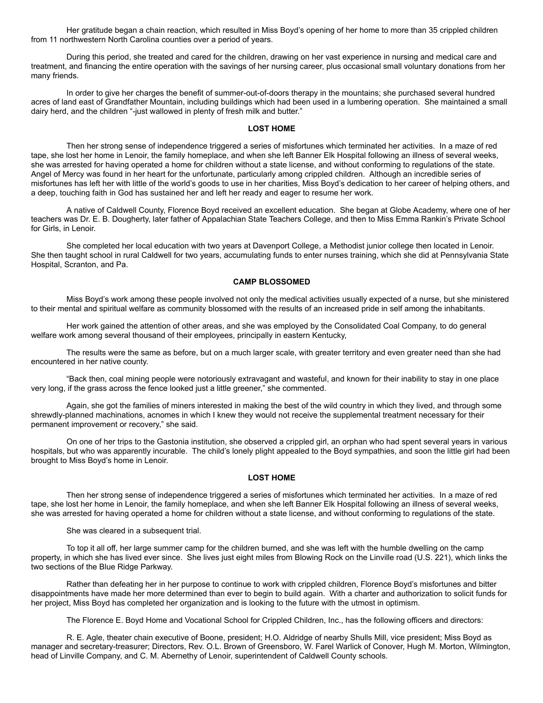Her gratitude began a chain reaction, which resulted in Miss Boyd's opening of her home to more than 35 crippled children from 11 northwestern North Carolina counties over a period of years.

 During this period, she treated and cared for the children, drawing on her vast experience in nursing and medical care and treatment, and financing the entire operation with the savings of her nursing career, plus occasional small voluntary donations from her many friends.

 In order to give her charges the benefit of summer-out-of-doors therapy in the mountains; she purchased several hundred acres of land east of Grandfather Mountain, including buildings which had been used in a lumbering operation. She maintained a small dairy herd, and the children "-just wallowed in plenty of fresh milk and butter."

#### **LOST HOME**

 Then her strong sense of independence triggered a series of misfortunes which terminated her activities. In a maze of red tape, she lost her home in Lenoir, the family homeplace, and when she left Banner Elk Hospital following an illness of several weeks, she was arrested for having operated a home for children without a state license, and without conforming to regulations of the state. Angel of Mercy was found in her heart for the unfortunate, particularly among crippled children. Although an incredible series of misfortunes has left her with little of the world's goods to use in her charities, Miss Boyd's dedication to her career of helping others, and a deep, touching faith in God has sustained her and left her ready and eager to resume her work.

 A native of Caldwell County, Florence Boyd received an excellent education. She began at Globe Academy, where one of her teachers was Dr. E. B. Dougherty, later father of Appalachian State Teachers College, and then to Miss Emma Rankin's Private School for Girls, in Lenoir.

 She completed her local education with two years at Davenport College, a Methodist junior college then located in Lenoir. She then taught school in rural Caldwell for two years, accumulating funds to enter nurses training, which she did at Pennsylvania State Hospital, Scranton, and Pa.

#### **CAMP BLOSSOMED**

 Miss Boyd's work among these people involved not only the medical activities usually expected of a nurse, but she ministered to their mental and spiritual welfare as community blossomed with the results of an increased pride in self among the inhabitants.

 Her work gained the attention of other areas, and she was employed by the Consolidated Coal Company, to do general welfare work among several thousand of their employees, principally in eastern Kentucky,

 The results were the same as before, but on a much larger scale, with greater territory and even greater need than she had encountered in her native county.

 "Back then, coal mining people were notoriously extravagant and wasteful, and known for their inability to stay in one place very long, if the grass across the fence looked just a little greener," she commented.

 Again, she got the families of miners interested in making the best of the wild country in which they lived, and through some shrewdly-planned machinations, acnomes in which I knew they would not receive the supplemental treatment necessary for their permanent improvement or recovery," she said.

 On one of her trips to the Gastonia institution, she observed a crippled girl, an orphan who had spent several years in various hospitals, but who was apparently incurable. The child's lonely plight appealed to the Boyd sympathies, and soon the little girl had been brought to Miss Boyd's home in Lenoir.

#### **LOST HOME**

 Then her strong sense of independence triggered a series of misfortunes which terminated her activities. In a maze of red tape, she lost her home in Lenoir, the family homeplace, and when she left Banner Elk Hospital following an illness of several weeks, she was arrested for having operated a home for children without a state license, and without conforming to regulations of the state.

She was cleared in a subsequent trial.

 To top it all off, her large summer camp for the children burned, and she was left with the humble dwelling on the camp property, in which she has lived ever since. She lives just eight miles from Blowing Rock on the Linville road (U.S. 221), which links the two sections of the Blue Ridge Parkway.

 Rather than defeating her in her purpose to continue to work with crippled children, Florence Boyd's misfortunes and bitter disappointments have made her more determined than ever to begin to build again. With a charter and authorization to solicit funds for her project, Miss Boyd has completed her organization and is looking to the future with the utmost in optimism.

The Florence E. Boyd Home and Vocational School for Crippled Children, Inc., has the following officers and directors:

 R. E. Agle, theater chain executive of Boone, president; H.O. Aldridge of nearby Shulls Mill, vice president; Miss Boyd as manager and secretary-treasurer; Directors, Rev. O.L. Brown of Greensboro, W. Farel Warlick of Conover, Hugh M. Morton, Wilmington, head of Linville Company, and C. M. Abernethy of Lenoir, superintendent of Caldwell County schools.